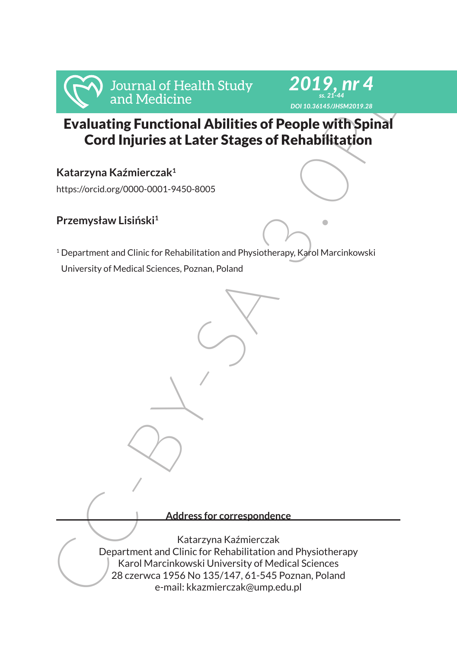



# Evaluating Functional Abilities of People with Spinal Cord Injuries at Later Stages of Rehabilitation

**Katarzyna Kaźmierczak<sup>1</sup>**

https://orcid.org/0000-0001-9450-8005

## **Przemysław Lisiński<sup>1</sup>**

<sup>1</sup> Department and Clinic for Rehabilitation and Physiotherapy, Karol Marcinkowski University of Medical Sciences, Poznan, Poland

**Address for correspondence**

For Journal of Health Study<br>
and Medicine<br>
Evaluating Functional Abilities of People with Spinal<br>
Cord Injuries at Later Stages of Rehabilitation<br>
Katarzyna Kažmierczak<sup>1</sup><br>
https://orcidors/0000-0001-9450-8005<br>
Przemysław Katarzyna Kaźmierczak Department and Clinic for Rehabilitation and Physiotherapy Karol Marcinkowski University of Medical Sciences 28 czerwca 1956 No 135/147, 61-545 Poznan, Poland e-mail: kkazmierczak@ump.edu.pl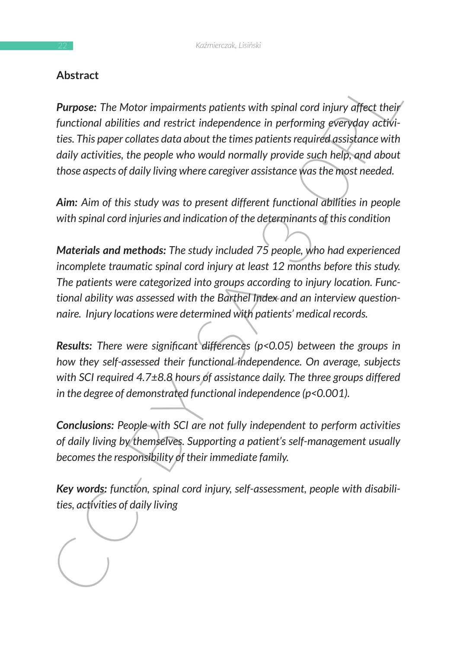### **Abstract**

**Furnose:** The Motor impairments patients with spinal cord injury diffect their<br>functional abilities and restrict independence in performing georyday activi-<br>functional abilities and restrict independence in performing ge **Purpose:** The Motor impairments patients with spinal cord injury affect their *functional abilities and restrict independence in performing everyday activities. This paper collates data about the times patients required assistance with daily activities, the people who would normally provide such help, and about those aspects of daily living where caregiver assistance was the most needed.* 

*Aim: Aim of this study was to present different functional abilities in people with spinal cord injuries and indication of the determinants of this condition*

*Materials and methods: The study included 75 people, who had experienced incomplete traumatic spinal cord injury at least 12 months before this study. The patients were categorized into groups according to injury location. Functional ability was assessed with the Barthel Index and an interview questionnaire. Injury locations were determined with patients' medical records.* 

*Results: There were significant differences (p<0.05) between the groups in how they self-assessed their functional independence. On average, subjects with SCI required 4.7±8.8 hours of assistance daily. The three groups differed in the degree of demonstrated functional independence (p<0.001).* 

*Conclusions: People with SCI are not fully independent to perform activities of daily living by themselves. Supporting a patient's self-management usually becomes the responsibility of their immediate family.* 

*Key words: function, spinal cord injury, self-assessment, people with disabilities, activities of daily living*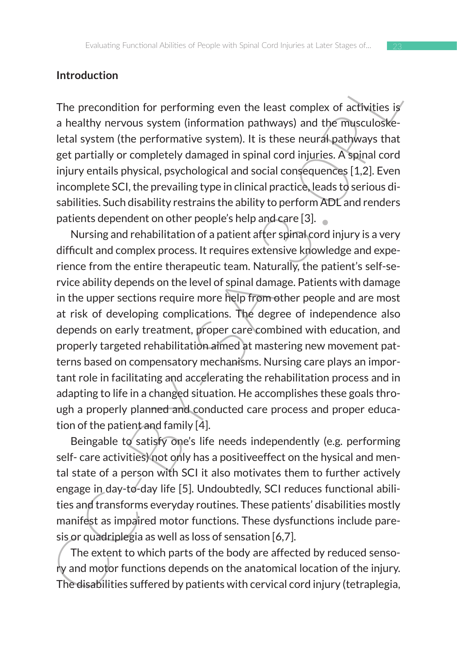#### **Introduction**

The precondition for performing even the least complex of activities is a healthy nervous system (information pathways) and the musculoskeletal system (the performative system). It is these neural pathways that get partially or completely damaged in spinal cord injuries. A spinal cord injury entails physical, psychological and social consequences [1,2]. Even incomplete SCI, the prevailing type in clinical practice, leads to serious disabilities. Such disability restrains the ability to perform ADL and renders patients dependent on other people's help and care [3].

Introduction<br>
The precondition for performing even the least complex of achivities is<br>
a healthy nervous system (information pathways) and the musculosite<br>
letal system (the performative system). It is these neural pathy<br>w Nursing and rehabilitation of a patient after spinal cord injury is a very difficult and complex process. It requires extensive knowledge and experience from the entire therapeutic team. Naturally, the patient's self-service ability depends on the level of spinal damage. Patients with damage in the upper sections require more help from other people and are most at risk of developing complications. The degree of independence also depends on early treatment, proper care combined with education, and properly targeted rehabilitation aimed at mastering new movement patterns based on compensatory mechanisms. Nursing care plays an important role in facilitating and accelerating the rehabilitation process and in adapting to life in a changed situation. He accomplishes these goals through a properly planned and conducted care process and proper education of the patient and family [4].

Beingable to satisfy one's life needs independently (e.g. performing self- care activities) not only has a positiveeffect on the hysical and mental state of a person with SCI it also motivates them to further actively engage in day-to-day life [5]. Undoubtedly, SCI reduces functional abilities and transforms everyday routines. These patients' disabilities mostly manifest as impaired motor functions. These dysfunctions include paresis or quadriplegia as well as loss of sensation [6,7].

The extent to which parts of the body are affected by reduced sensory and motor functions depends on the anatomical location of the injury. The disabilities suffered by patients with cervical cord injury (tetraplegia,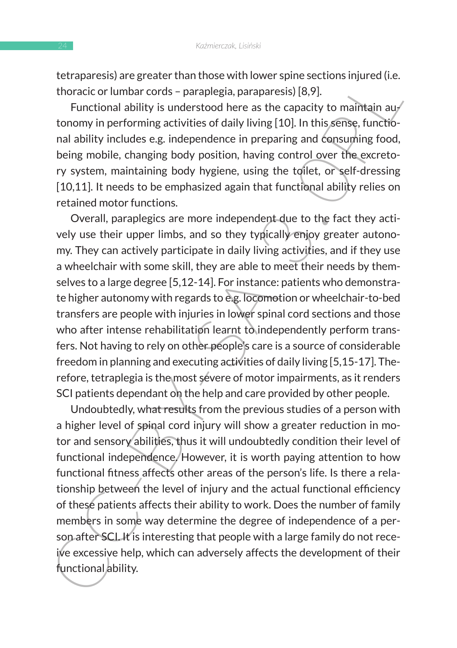tetraparesis) are greater than those with lower spine sections injured (i.e. thoracic or lumbar cords – paraplegia, paraparesis) [8,9].

Functional ability is understood here as the capacity to maintain autonomy in performing activities of daily living [10]. In this sense, functional ability includes e.g. independence in preparing and consuming food, being mobile, changing body position, having control over the excretory system, maintaining body hygiene, using the toilet, or self-dressing [10,11]. It needs to be emphasized again that functional ability relies on retained motor functions.

teurapies are greater trial times with lower spines exceptions injure the thoraction lumbar cords – paraplegia, paraparesis) [8,9].<br>
Functional ability is understood here as the capacity to maintain auty to marito the metr Overall, paraplegics are more independent due to the fact they actively use their upper limbs, and so they typically enjoy greater autonomy. They can actively participate in daily living activities, and if they use a wheelchair with some skill, they are able to meet their needs by themselves to a large degree [5,12-14]. For instance: patients who demonstrate higher autonomy with regards to e.g. locomotion or wheelchair-to-bed transfers are people with injuries in lower spinal cord sections and those who after intense rehabilitation learnt to independently perform transfers. Not having to rely on other people's care is a source of considerable freedom in planning and executing activities of daily living [5,15-17]. Therefore, tetraplegia is the most severe of motor impairments, as it renders SCI patients dependant on the help and care provided by other people.

Undoubtedly, what results from the previous studies of a person with a higher level of spinal cord injury will show a greater reduction in motor and sensory abilities, thus it will undoubtedly condition their level of functional independence. However, it is worth paying attention to how functional fitness affects other areas of the person's life. Is there a relationship between the level of injury and the actual functional efficiency of these patients affects their ability to work. Does the number of family members in some way determine the degree of independence of a person after SCI. It is interesting that people with a large family do not receive excessive help, which can adversely affects the development of their functional ability.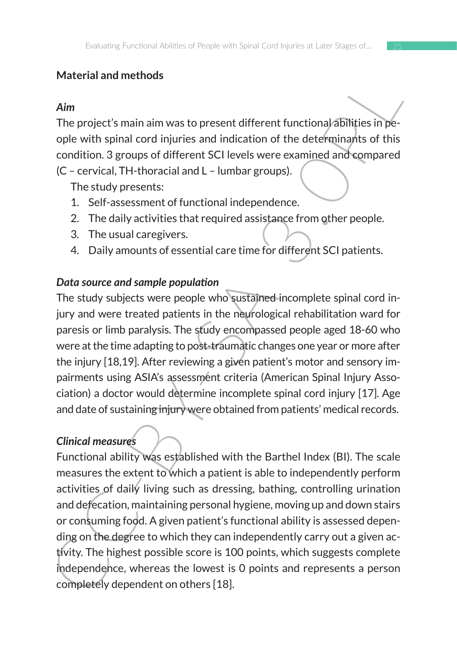### **Material and methods**

### *Aim*

The project's main aim was to present different functional abilities in people with spinal cord injuries and indication of the determinants of this condition. 3 groups of different SCI levels were examined and compared (C – cervical, TH-thoracial and L – lumbar groups).

The study presents:

- 1. Self-assessment of functional independence.
- 2. The daily activities that required assistance from other people.
- 3. The usual caregivers.
- 4. Daily amounts of essential care time for different SCI patients.

### *Data source and sample population*

The study subjects were people who sustained incomplete spinal cord injury and were treated patients in the neurological rehabilitation ward for paresis or limb paralysis. The study encompassed people aged 18-60 who were at the time adapting to post-traumatic changes one year or more after the injury [18,19]. After reviewing a given patient's motor and sensory impairments using ASIA's assessment criteria (American Spinal Injury Association) a doctor would determine incomplete spinal cord injury [17]. Age and date of sustaining injury were obtained from patients' medical records.

## *Clinical measures*

Min<br>
The project's main aim was to present different functional abilities in pe-<br>
ople with spinal cord injuries and indication of the determinants of this<br>
condition. 3 groups of different SCI levels were examined and com Functional ability was established with the Barthel Index (BI). The scale measures the extent to which a patient is able to independently perform activities of daily living such as dressing, bathing, controlling urination and defecation, maintaining personal hygiene, moving up and down stairs or consuming food. A given patient's functional ability is assessed depending on the degree to which they can independently carry out a given activity. The highest possible score is 100 points, which suggests complete independence, whereas the lowest is 0 points and represents a person completely dependent on others [18].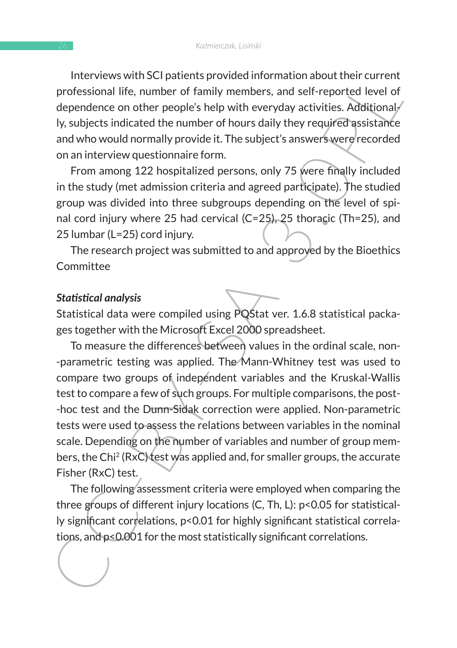Interviews with SCI patients provided information about their current professional life, number of family members, and self-reported level of dependence on other people's help with everyday activities. Additionally, subjects indicated the number of hours daily they required assistance and who would normally provide it. The subject's answers were recorded on an interview questionnaire form.

From among 122 hospitalized persons, only 75 were finally included in the study (met admission criteria and agreed participate). The studied group was divided into three subgroups depending on the level of spinal cord injury where 25 had cervical (C=25), 25 thoracic (Th=25), and 25 lumbar (L=25) cord injury.

The research project was submitted to and approved by the Bioethics **Committee** 

#### *Statistical analysis*

Statistical data were compiled using PQStat ver. 1.6.8 statistical packages together with the Microsoft Excel 2000 spreadsheet.

increases work and the number of band about their current<br>professional life, number of family members, and self-reported level of<br>dependence on other people's help with everyday activities. Additional/<br>ly, subjects indicat To measure the differences between values in the ordinal scale, non- -parametric testing was applied. The Mann-Whitney test was used to compare two groups of independent variables and the Kruskal-Wallis test to compare a few of such groups. For multiple comparisons, the post- -hoc test and the Dunn-Sidak correction were applied. Non-parametric tests were used to assess the relations between variables in the nominal scale. Depending on the number of variables and number of group members, the Chi2 (RxC) test was applied and, for smaller groups, the accurate Fisher (RxC) test.

The following assessment criteria were employed when comparing the three groups of different injury locations (C, Th, L): p<0.05 for statistically significant correlations, p<0.01 for highly significant statistical correlations, and p<0.001 for the most statistically significant correlations.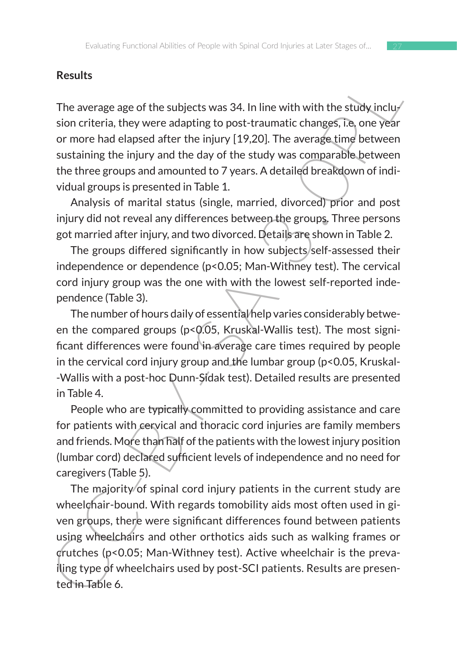#### **Results**

The average age of the subjects was 34. In line with with the study inclusion criteria, they were adapting to post-traumatic changes, i.e. one year or more had elapsed after the injury [19,20]. The average time between sustaining the injury and the day of the study was comparable between the three groups and amounted to 7 years. A detailed breakdown of individual groups is presented in Table 1.

Analysis of marital status (single, married, divorced) prior and post injury did not reveal any differences between the groups. Three persons got married after injury, and two divorced. Details are shown in Table 2.

The groups differed significantly in how subjects/self-assessed their independence or dependence (p<0.05; Man-Withney test). The cervical cord injury group was the one with with the lowest self-reported independence (Table 3).

The number of hours daily of essential help varies considerably between the compared groups (p<0.05, Kruskal-Wallis test). The most significant differences were found in average care times required by people in the cervical cord injury group and the lumbar group (p<0.05, Kruskal- -Wallis with a post-hoc Dunn-Sidak test). Detailed results are presented in Table 4.

People who are typically committed to providing assistance and care for patients with cervical and thoracic cord injuries are family members and friends. More than half of the patients with the lowest injury position (lumbar cord) declared sufficient levels of independence and no need for caregivers (Table 5).

resuns<br>
The average age of the subjects was 34. In line with with the study inclu-<br>
sion criteria, they were adapting to post-traumatic changes, it one year<br>
or more had elapsed after the injury [19,20]. The average time The majority of spinal cord injury patients in the current study are wheelchair-bound. With regards tomobility aids most often used in given groups, there were significant differences found between patients using wheelchairs and other orthotics aids such as walking frames or crutches (p<0.05; Man-Withney test). Active wheelchair is the prevailing type of wheelchairs used by post-SCI patients. Results are presented in Table 6.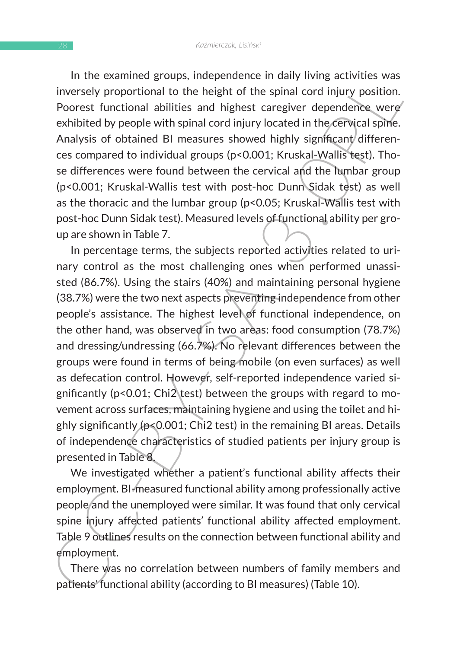In the examined groups, independence in daily living activities was inversely proportional to the height of the spinal cord injury position. Poorest functional abilities and highest caregiver dependence were exhibited by people with spinal cord injury located in the cervical spine. Analysis of obtained BI measures showed highly significant differences compared to individual groups (p<0.001; Kruskal-Wallis test). Those differences were found between the cervical and the lumbar group (p<0.001; Kruskal-Wallis test with post-hoc Dunn Sidak test) as well as the thoracic and the lumbar group (p<0.05; Kruskal-Wallis test with post-hoc Dunn Sidak test). Measured levels of functional ability per group are shown in Table 7.

in the examined groups, interpentione to further largy invirgi activities was the height of the spinal cord injury position.<br>Poorest functional abilities and highest caregiver dependence were exhibited by people with spina In percentage terms, the subjects reported activities related to urinary control as the most challenging ones when performed unassisted (86.7%). Using the stairs (40%) and maintaining personal hygiene (38.7%) were the two next aspects preventing independence from other people's assistance. The highest level of functional independence, on the other hand, was observed in two areas: food consumption (78.7%) and dressing/undressing (66.7%). No relevant differences between the groups were found in terms of being mobile (on even surfaces) as well as defecation control. However, self-reported independence varied significantly (p<0.01; Chi2 test) between the groups with regard to movement across surfaces, maintaining hygiene and using the toilet and highly significantly (p<0.001; Chi2 test) in the remaining BI areas. Details of independence characteristics of studied patients per injury group is presented in Table 8.

We investigated whether a patient's functional ability affects their employment. BI-measured functional ability among professionally active people and the unemployed were similar. It was found that only cervical spine injury affected patients' functional ability affected employment. Table 9 outlines results on the connection between functional ability and employment.

There was no correlation between numbers of family members and patients' functional ability (according to BI measures) (Table 10).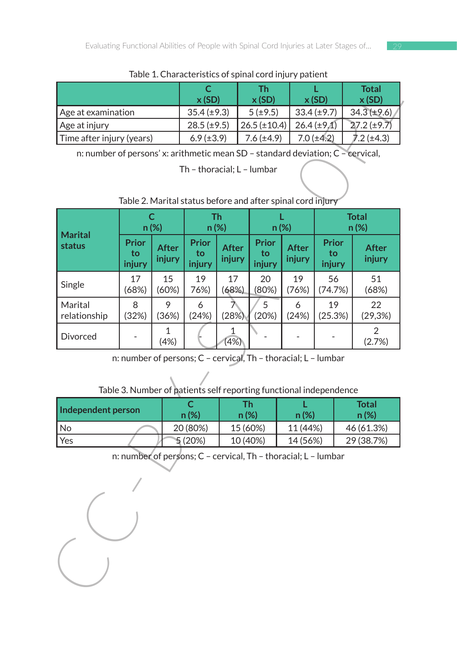| <u>rapic I. Characteristics or spirial cora injury patient</u> |                  |                   |                  |                       |  |  |  |  |  |
|----------------------------------------------------------------|------------------|-------------------|------------------|-----------------------|--|--|--|--|--|
|                                                                | x(SD)            | Τh<br>x(SD)       | x(SD)            | <b>Total</b><br>x(SD) |  |  |  |  |  |
| Age at examination                                             | $35.4 (\pm 9.3)$ | 5(±9.5)           | $33.4(\pm 9.7)$  | $34.3(\pm 9.6)$       |  |  |  |  |  |
| Age at injury                                                  | $28.5 (\pm 9.5)$ | $26.5 (\pm 10.4)$ | $26.4 (\pm 9.1)$ | $27.2 (\pm 9.7)$      |  |  |  |  |  |
| Time after injury (years)                                      | $6.9 (\pm 3.9)$  | $7.6 (\pm 4.9)$   | $7.0 (\pm 4.2)$  | 7.2 (±4.3)            |  |  |  |  |  |

Table 1. Characteristics of spinal cord injury patient

Table 2. Marital status before and after spinal cord injury

| Table 1. Characteristics or spirial cord injury patient<br>$\mathsf{C}$<br><b>Total</b><br><b>Th</b><br>L |                              |                         |                       |                        |                                                                    |                        |                       |                          |  |  |  |  |  |  |  |
|-----------------------------------------------------------------------------------------------------------|------------------------------|-------------------------|-----------------------|------------------------|--------------------------------------------------------------------|------------------------|-----------------------|--------------------------|--|--|--|--|--|--|--|
|                                                                                                           |                              |                         | x(SD)                 |                        | x(SD)                                                              |                        | x(SD)                 | x(SD)                    |  |  |  |  |  |  |  |
| Age at examination                                                                                        |                              |                         | $35.4 (\pm 9.3)$      |                        | $5(\pm 9.5)$                                                       |                        | $33.4 (\pm 9.7)$      | $34.3 (\pm 9.6)$         |  |  |  |  |  |  |  |
| Age at injury                                                                                             |                              |                         | $28.5 (\pm 9.5)$      |                        | $26.5 (\pm 10.4)$                                                  |                        | $26.4 (\pm 9.1)$      | $27.2 (\pm 9.7)$         |  |  |  |  |  |  |  |
| Time after injury (years)                                                                                 |                              |                         | $6.9 (\pm 3.9)$       |                        | $7.6 (\pm 4.9)$                                                    |                        | $7.0 (\pm 4.2)$       | $7.2 (\pm 4.3)$          |  |  |  |  |  |  |  |
| n: number of persons' x: arithmetic mean SD - standard deviation; C - cervical,                           |                              |                         |                       |                        |                                                                    |                        |                       |                          |  |  |  |  |  |  |  |
| Th - thoracial; L - lumbar                                                                                |                              |                         |                       |                        |                                                                    |                        |                       |                          |  |  |  |  |  |  |  |
|                                                                                                           |                              |                         |                       |                        | Table 2. Marital status before and after spinal cord injury        |                        |                       |                          |  |  |  |  |  |  |  |
|                                                                                                           |                              | $\mathsf{C}$<br>$n(\%)$ |                       | <b>Th</b><br>$n(\%)$   |                                                                    | L<br>$n(\%)$           |                       | <b>Total</b><br>$n(\%)$  |  |  |  |  |  |  |  |
| <b>Marital</b><br>status                                                                                  | <b>Prior</b><br>to<br>injury | <b>After</b><br>injury  | Prior<br>to<br>injury | <b>After</b><br>injury | <b>Prior</b><br>to<br>injury                                       | <b>After</b><br>injury | Prior<br>to<br>injury | <b>After</b><br>injury   |  |  |  |  |  |  |  |
| Single                                                                                                    | 17<br>(68%)                  | 15<br>(60%)             | 19<br>76%)            | 17<br>(68%)            | 20<br>(80%)                                                        | 19<br>(76%)            | 56<br>(74.7%)         | 51<br>(68%)              |  |  |  |  |  |  |  |
| Marital<br>relationship                                                                                   | 8<br>(32%)                   | 9<br>(36%)              | 6<br>(24%)            | ラ<br>(28%)             | 5<br>(20%)                                                         | 6<br>(24%)             | 19<br>(25.3%)         | 22<br>(29,3%)            |  |  |  |  |  |  |  |
| Divorced                                                                                                  |                              | 1<br>(4%)               |                       | 1<br>(4%)              |                                                                    |                        |                       | $\mathcal{P}$<br>(2.7%)  |  |  |  |  |  |  |  |
|                                                                                                           |                              |                         |                       |                        | n: number of persons; C - cervical, Th - thoracial; L - lumbar     |                        |                       |                          |  |  |  |  |  |  |  |
|                                                                                                           |                              |                         |                       |                        | Table 3. Number of patients self reporting functional independence |                        |                       |                          |  |  |  |  |  |  |  |
| Independent person                                                                                        |                              |                         | C                     |                        | <b>Th</b>                                                          | L                      |                       | <b>Total</b>             |  |  |  |  |  |  |  |
|                                                                                                           |                              |                         | n(%)                  |                        | n(%)<br>$n(\%)$<br>15 (60%)                                        |                        |                       | n(%)                     |  |  |  |  |  |  |  |
| No<br>Yes                                                                                                 |                              |                         | 20 (80%)<br>5(20%)    |                        | 10 (40%)                                                           | 11 (44%)<br>14 (56%)   |                       | 46 (61.3%)<br>29 (38.7%) |  |  |  |  |  |  |  |
|                                                                                                           |                              |                         |                       |                        |                                                                    |                        |                       |                          |  |  |  |  |  |  |  |
| n: number of persons; C - cervical, Th - thoracial; L - lumbar                                            |                              |                         |                       |                        |                                                                    |                        |                       |                          |  |  |  |  |  |  |  |
|                                                                                                           |                              |                         |                       |                        |                                                                    |                        |                       |                          |  |  |  |  |  |  |  |

| Table 3. Number of patients self reporting functional independence |
|--------------------------------------------------------------------|
|--------------------------------------------------------------------|

| Independent person | $n$ (%)  | Тh.<br>n(%) | $n (\%)$ | <b>Total</b><br>n(%) |  |
|--------------------|----------|-------------|----------|----------------------|--|
| l No               | 20 (80%) | 15 (60%)    | 11 (44%) | 46 (61.3%)           |  |
| Yes                | 5(20%)   | 10 (40%)    | 14 (56%) | 29 (38.7%)           |  |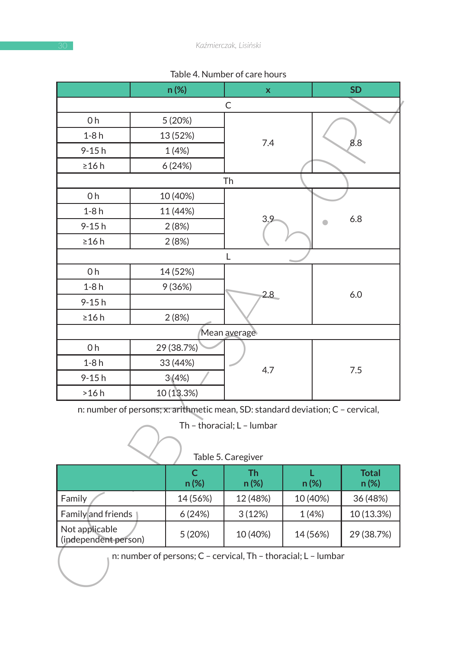| $1$ abic 4. Mulliber of care flours                                             |  |            |                                                                |    |          |              |  |  |
|---------------------------------------------------------------------------------|--|------------|----------------------------------------------------------------|----|----------|--------------|--|--|
|                                                                                 |  | n(%)       | x                                                              |    |          | <b>SD</b>    |  |  |
|                                                                                 |  |            | C                                                              |    |          |              |  |  |
| 0 h                                                                             |  | 5 (20%)    |                                                                |    |          |              |  |  |
| $1-8h$                                                                          |  | 13 (52%)   | 7.4                                                            |    |          | 8.8          |  |  |
| 9-15h                                                                           |  | 1(4%)      |                                                                |    |          |              |  |  |
| $\geq$ 16 h                                                                     |  | 6(24%)     |                                                                |    |          |              |  |  |
|                                                                                 |  |            | Th                                                             |    |          |              |  |  |
| 0h                                                                              |  | 10 (40%)   |                                                                |    |          |              |  |  |
| $1-8h$                                                                          |  | 11 (44%)   |                                                                |    |          |              |  |  |
| 9-15h                                                                           |  | 2(8%)      | 3.9                                                            |    |          | 6.8          |  |  |
| ≥16 h                                                                           |  | 2 (8%)     |                                                                |    |          |              |  |  |
|                                                                                 |  |            | L                                                              |    |          |              |  |  |
| 0h                                                                              |  | 14 (52%)   |                                                                |    |          |              |  |  |
| $1-8h$                                                                          |  | 9 (36%)    |                                                                |    |          |              |  |  |
| 9-15h                                                                           |  |            | 2.8                                                            |    |          | 6.0          |  |  |
| $\geq$ 16 h                                                                     |  | 2(8%)      |                                                                |    |          |              |  |  |
|                                                                                 |  |            | Mean average                                                   |    |          |              |  |  |
| 0h                                                                              |  | 29 (38.7%) |                                                                |    |          |              |  |  |
| $1-8h$                                                                          |  | 33 (44%)   |                                                                |    |          |              |  |  |
| 9-15h                                                                           |  | 3(4%)      | 4.7                                                            |    | 7.5      |              |  |  |
| >16h                                                                            |  | 10 (13.3%) |                                                                |    |          |              |  |  |
| n: number of persons; x: arithmetic mean, SD: standard deviation; C - cervical, |  |            |                                                                |    |          |              |  |  |
|                                                                                 |  |            | Th - thoracial; L - lumbar                                     |    |          |              |  |  |
|                                                                                 |  |            |                                                                |    |          |              |  |  |
|                                                                                 |  |            | Table 5. Caregiver                                             |    |          |              |  |  |
|                                                                                 |  | c          | Th.                                                            | T. |          | <b>Total</b> |  |  |
|                                                                                 |  | n(%)       | n(%)                                                           |    | n (%)    | n(%)         |  |  |
| Family                                                                          |  | 14 (56%)   | 12 (48%)                                                       |    | 10 (40%) | 36 (48%)     |  |  |
| Family and friends                                                              |  | 6(24%)     | 3(12%)                                                         |    | 1(4%)    | 10 (13.3%)   |  |  |
| Not applicable                                                                  |  | 5 (20%)    | 10 (40%)                                                       |    | 14 (56%) | 29 (38.7%)   |  |  |
| (independent person)                                                            |  |            |                                                                |    |          |              |  |  |
|                                                                                 |  |            | n: number of persons; C - cervical, Th - thoracial; L - lumbar |    |          |              |  |  |
|                                                                                 |  |            |                                                                |    |          |              |  |  |
|                                                                                 |  |            |                                                                |    |          |              |  |  |

| Table 4. Number of care hours |  |
|-------------------------------|--|
|                               |  |

| lable 5. Caregiver                     |          |               |          |                      |  |  |  |  |
|----------------------------------------|----------|---------------|----------|----------------------|--|--|--|--|
|                                        | $n(\%)$  | Th<br>$n(\%)$ | $n (\%)$ | <b>Total</b><br>n(%) |  |  |  |  |
| Family                                 | 14 (56%) | 12 (48%)      | 10 (40%) | 36 (48%)             |  |  |  |  |
| Family and friends                     | 6(24%)   | 3(12%)        | 1(4%)    | 10 (13.3%)           |  |  |  |  |
| Not applicable<br>(independent person) | 5(20%)   | 10 (40%)      | 14 (56%) | 29 (38.7%)           |  |  |  |  |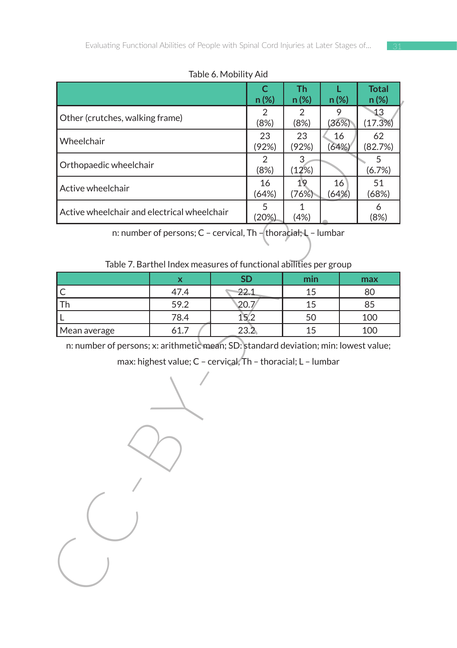Table 6. Mobility Aid

|                                             |                                                                                                                                     | TADIC OF INTODITIES MID |            |                   |           |                      |  |
|---------------------------------------------|-------------------------------------------------------------------------------------------------------------------------------------|-------------------------|------------|-------------------|-----------|----------------------|--|
|                                             |                                                                                                                                     |                         | C.<br>n(%) | <b>Th</b><br>n(%) | L<br>n(%) | <b>Total</b><br>n(%) |  |
|                                             |                                                                                                                                     |                         | 2          | 2                 | 9         | $\mathbf{1}3$        |  |
| Other (crutches, walking frame)             |                                                                                                                                     |                         | (8%)       | (8%)              | (36%)     | (17.3%)              |  |
| Wheelchair                                  |                                                                                                                                     |                         | 23         | 23                | 16        | 62                   |  |
|                                             |                                                                                                                                     |                         | (92%)      | (92%)             | (64%)     | (82.7%)              |  |
| Orthopaedic wheelchair                      |                                                                                                                                     |                         | 2<br>(8%)  | 3<br>(12%)        |           | 5<br>(6.7%)          |  |
|                                             |                                                                                                                                     |                         | 16         | 19                | 16        | 51                   |  |
| Active wheelchair                           |                                                                                                                                     |                         | (64%)      | (76%)             | (64%)     | (68%)                |  |
| Active wheelchair and electrical wheelchair |                                                                                                                                     |                         | 5          | 1                 |           | 6                    |  |
|                                             |                                                                                                                                     |                         | (20%)      | (4%)              |           | (8%)                 |  |
|                                             | n: number of persons; C - cervical, Th - thoracial; L - lumbar<br>Table 7. Barthel Index measures of functional abilities per group |                         |            |                   |           |                      |  |
|                                             | X                                                                                                                                   |                         | <b>SD</b>  | min               |           | max                  |  |
| С                                           | 47.4                                                                                                                                |                         | 22.1       | 15                |           | 80                   |  |
| Th                                          | 59.2                                                                                                                                |                         | 20.7       | 15                |           | 85                   |  |
| L                                           | 78.4                                                                                                                                |                         | 15.2       | 50                |           | 100                  |  |
| Mean average                                | 61.7                                                                                                                                |                         | 23.2       | 15                |           | 100                  |  |
|                                             | max: highest value; C - cervical, Th - thoracial; L - lumbar                                                                        |                         |            |                   |           |                      |  |
|                                             |                                                                                                                                     |                         |            |                   |           |                      |  |

Table 7. Barthel Index measures of functional abilities per group

|              |      | ςг   | min | max |
|--------------|------|------|-----|-----|
|              | 47.4 | 22.1 |     | 80  |
| Th           | 59.2 |      |     | 85  |
|              | 78.4 |      |     | 100 |
| Mean average | 61.  | 23.2 |     | 100 |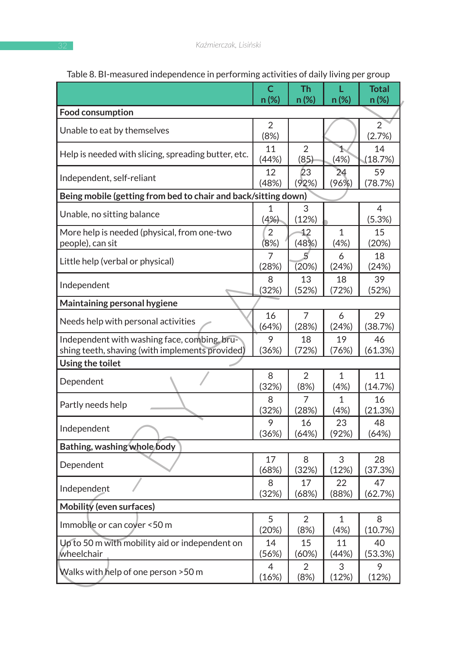|                                                                | C.          | <b>Th</b>              | L            | <b>Total</b>  |
|----------------------------------------------------------------|-------------|------------------------|--------------|---------------|
|                                                                | n(%)        | n(%)                   | n(%)         | $n(\%)$       |
| <b>Food consumption</b>                                        |             |                        |              |               |
| Unable to eat by themselves                                    | 2           |                        |              | 2             |
|                                                                | (8%)        |                        |              | (2.7%)        |
| Help is needed with slicing, spreading butter, etc.            | 11<br>(44%) | $\overline{2}$<br>(85) | 1.<br>(4%)   | 14<br>(18.7%) |
| Independent, self-reliant                                      | 12          | ŽЗ                     | 24           | 59            |
|                                                                | (48%)       | (92%)                  | (96%)        | (78.7%)       |
| Being mobile (getting from bed to chair and back/sitting down) |             |                        |              |               |
| Unable, no sitting balance                                     | 1           | 3                      |              | 4             |
|                                                                | (4%)        | (12%)                  |              | (5.3%)        |
| More help is needed (physical, from one-two                    | 2           | 12                     | $\mathbf{1}$ | 15            |
| people), can sit                                               | (8%)        | (48%)                  | (4%)         | (20%)         |
| Little help (verbal or physical)                               | 7           | 5                      | 6            | 18            |
|                                                                | (28%)       | (20%)                  | (24%)        | (24%)         |
| Independent                                                    | 8           | 13                     | 18           | 39            |
|                                                                | (32%)       | (52%)                  | (72%)        | (52%)         |
| Maintaining personal hygiene                                   |             |                        |              |               |
| Needs help with personal activities                            | 16          | 7                      | 6            | 29            |
|                                                                | (64%)       | (28%)                  | (24%)        | (38.7%)       |
| Independent with washing face, combing, bru-                   | 9           | 18                     | 19           | 46            |
| shing teeth, shaving (with implements provided)                | (36%)       | (72%)                  | (76%)        | (61.3%)       |
| Using the toilet                                               |             |                        |              |               |
| Dependent                                                      | 8           | 2                      | 1            | 11            |
|                                                                | (32%)       | (8%)                   | (4%)         | (14.7%)       |
| Partly needs help                                              | 8           | 7                      | $\mathbf{1}$ | 16            |
|                                                                | (32%)       | (28%)                  | (4%)         | (21.3%)       |
| Independent                                                    | 9           | 16                     | 23           | 48            |
|                                                                | (36%)       | (64%)                  | (92%)        | (64%)         |
| Bathing, washing whole body                                    |             |                        |              |               |
| Dependent                                                      | 17          | 8                      | 3            | 28            |
|                                                                | (68%)       | (32%)                  | (12%)        | (37.3%)       |
| Independent                                                    | 8           | 17                     | 22           | 47            |
|                                                                | (32%)       | (68%)                  | (88%)        | (62.7%)       |
| Mobility (even surfaces)                                       |             |                        |              |               |
| Immobile or can cover <50 m                                    | 5           | 2                      | 1            | 8             |
|                                                                | (20%)       | (8%)                   | (4%)         | (10.7%)       |
| Up to 50 m with mobility aid or independent on                 | 14          | 15                     | 11           | 40            |
| wheelchair                                                     | (56%)       | (60%)                  | (44%)        | (53.3%)       |
|                                                                | 4           | 2                      | 3            | 9             |
| Walks with help of one person >50 m                            | (16%)       | (8%)                   | (12%)        | (12%)         |

#### Table 8. BI-measured independence in performing activities of daily living per group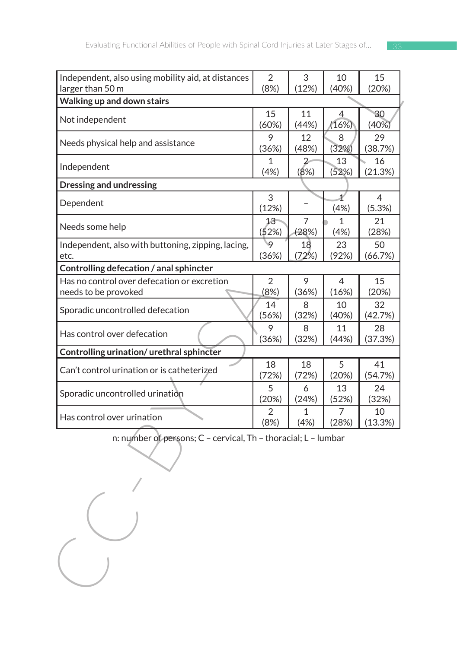| Independent, also using mobility aid, at distances             | $\overline{2}$ | 3           | 10          | 15            |
|----------------------------------------------------------------|----------------|-------------|-------------|---------------|
| larger than 50 m                                               | (8%)           | (12%)       | (40%)       | (20%)         |
| Walking up and down stairs                                     |                |             |             |               |
| Not independent                                                | 15             | 11          | 4           | 30            |
|                                                                | (60%)          | (44%)       | (16%)       | (40%)         |
| Needs physical help and assistance                             | 9              | 12          | 8           | 29            |
|                                                                | (36%)          | (48%)       | (32%)       | (38.7%)       |
| Independent                                                    | 1<br>(4%)      | (8%)        | 13<br>(52%) | 16<br>(21.3%) |
| <b>Dressing and undressing</b>                                 |                |             |             |               |
|                                                                | 3              |             | 1           | 4             |
| Dependent                                                      | (12%)          |             | (4%)        | (5.3%)        |
| Needs some help                                                | $13 -$         | 7           | 1           | 21            |
|                                                                | (52%)          | (28%)       | (4%)        | (28%)         |
| Independent, also with buttoning, zipping, lacing,             | 19             | 18          | 23          | 50            |
| etc.                                                           | (36%)          | (72%)       | (92%)       | (66.7%)       |
| Controlling defecation / anal sphincter                        |                |             |             |               |
| Has no control over defecation or excretion                    | 2              | 9           | 4           | 15            |
| needs to be provoked                                           | (8%)           | (36%)       | (16%)       | (20%)         |
| Sporadic uncontrolled defecation                               | 14<br>(56%)    | 8<br>(32%)  | 10<br>(40%) | 32<br>(42.7%) |
| Has control over defecation                                    | 9              | 8           | 11          | 28            |
|                                                                | (36%)          | (32%)       | (44%)       | (37.3%)       |
| Controlling urination/urethral sphincter                       |                |             |             |               |
| Can't control urination or is catheterized                     | 18<br>(72%)    | 18<br>(72%) | 5<br>(20%)  | 41<br>(54.7%) |
|                                                                | 5              | 6           | 13          | 24            |
| Sporadic uncontrolled urination                                | (20%)          | (24%)       | (52%)       | (32%)         |
|                                                                | 2              | 1           | 7           | 10            |
| Has control over urination                                     | (8%)           | (4%)        | (28%)       | (13.3%)       |
| n: number of persons; C - cervical, Th - thoracial; L - lumbar |                |             |             |               |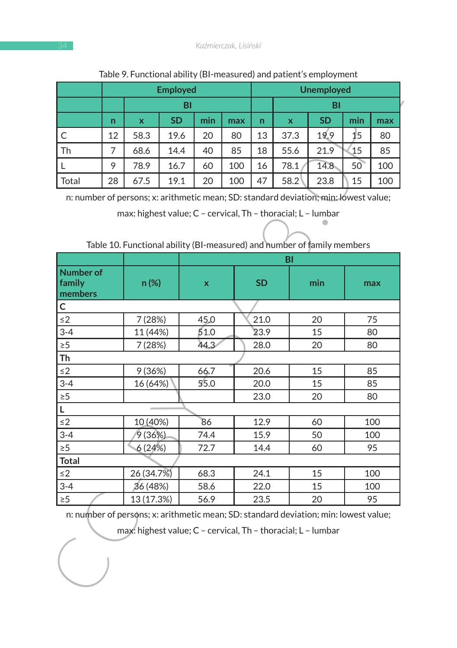|         | <b>Employed</b> |      |           |     |     |    | <b>Unemployed</b> |           |     |     |
|---------|-----------------|------|-----------|-----|-----|----|-------------------|-----------|-----|-----|
|         |                 |      | BI        |     |     |    |                   | BI        |     |     |
|         | n               | X    | <b>SD</b> | min | max | n  | $\mathbf x$       | <b>SD</b> | min | max |
| l C     | 12              | 58.3 | 19.6      | 20  | 80  | 13 | 37.3              | 19.9      | 15  | 80  |
| Th      |                 | 68.6 | 14.4      | 40  | 85  | 18 | 55.6              | 21.9      | 15  | 85  |
|         | 9               | 78.9 | 16.7      | 60  | 100 | 16 | 78.1              | 14.8      | 50  | 100 |
| l Total | 28              | 67.5 | 19.1      | 20  | 100 | 47 | 58.2              | 23.8      | 15  | 100 |

#### Table 9. Functional ability (BI-measured) and patient's employment

Table 10. Functional ability (BI-measured) and number of family members

|                                                                                      |    | <b>Employed</b>                                                         |           |      |              |              |      | <b>Unemployed</b> |                |            |
|--------------------------------------------------------------------------------------|----|-------------------------------------------------------------------------|-----------|------|--------------|--------------|------|-------------------|----------------|------------|
|                                                                                      |    | BI                                                                      |           |      |              |              | BI   |                   |                |            |
|                                                                                      | n  | X                                                                       | <b>SD</b> | min  | max          | n            | X    | <b>SD</b>         | min            | max        |
| C                                                                                    | 12 | 58.3                                                                    | 19.6      | 20   | 80           | 13           | 37.3 | 19.9              | 1 <sub>5</sub> | 80         |
| Th                                                                                   | 7  | 68.6                                                                    | 14.4      | 40   | 85           | 18           | 55.6 | 21.9              | 15             | 85         |
| Г                                                                                    | 9  | 78.9                                                                    | 16.7      | 60   | 100          | 16           | 78.1 | 14.8              | 50             | 100        |
| Total                                                                                | 28 | 67.5                                                                    | 19.1      | 20   | 100          | 47           | 58.2 | 23.8              | 15             | 100        |
| n: number of persons; x: arithmetic mean; SD: standard deviation; min: lowest value; |    |                                                                         |           |      |              |              |      |                   |                |            |
|                                                                                      |    | max: highest value; C - cervical, Th - thoracial; L - lumbar            |           |      |              |              |      |                   |                |            |
|                                                                                      |    |                                                                         |           |      |              |              |      |                   |                |            |
|                                                                                      |    |                                                                         |           |      |              |              |      |                   |                |            |
|                                                                                      |    | Table 10. Functional ability (BI-measured) and number of family members |           |      |              |              |      |                   |                |            |
|                                                                                      |    |                                                                         |           |      |              | BI           |      |                   |                |            |
| <b>Number of</b>                                                                     |    |                                                                         |           |      |              |              |      |                   |                |            |
| family<br>members                                                                    |    | n (%)                                                                   |           | x    |              | SD           |      | min               | max            |            |
| с                                                                                    |    |                                                                         |           |      |              |              |      |                   |                |            |
| $\leq$ 2                                                                             |    | 7 (28%)                                                                 |           | 45.0 |              |              |      | 20                | 75             |            |
| $3 - 4$                                                                              |    | 11 (44%)                                                                |           | 51.0 |              | 21.0<br>23.9 |      | 15                | 80             |            |
| $\geq 5$                                                                             |    | 7 (28%)                                                                 |           | 44.3 | 28.0         |              |      | 20                |                | 80         |
| Th                                                                                   |    |                                                                         |           |      |              |              |      |                   |                |            |
| $\leq$ 2                                                                             |    | 9(36%)                                                                  |           | 66.7 |              | 20.6<br>20.0 |      | 15                | 85             |            |
| $3 - 4$                                                                              |    | 16 (64%)                                                                |           | 55.0 |              |              |      | 15                | 85             |            |
| $\geq 5$                                                                             |    |                                                                         |           |      |              | 23.0         |      | 20<br>80          |                |            |
| Г                                                                                    |    |                                                                         |           |      |              |              |      |                   |                |            |
| $\leq$ 2                                                                             |    | 10 (40%)                                                                |           | 86   |              | 12.9         |      | 60                | 100            |            |
| $3 - 4$                                                                              |    | 9(36%)                                                                  |           | 74.4 |              | 15.9         |      | 50                |                | 100        |
| $\geq 5$                                                                             |    | 6(24%)                                                                  |           | 72.7 |              | 14.4         |      | 60                |                | 95         |
| <b>Total</b>                                                                         |    |                                                                         |           |      |              | 24.1         |      |                   |                |            |
| $\leq$ 2<br>$3 - 4$                                                                  |    | 26 (34.7%)<br>36 (48%)                                                  |           |      | 68.3<br>58.6 |              |      | 15<br>15          |                | 100<br>100 |
| $\geq 5$                                                                             |    | 13 (17.3%)                                                              |           | 56.9 |              | 22.0<br>23.5 |      | 20                |                | 95         |
| n: number of persons; x: arithmetic mean; SD: standard deviation; min: lowest value; |    |                                                                         |           |      |              |              |      |                   |                |            |
|                                                                                      |    |                                                                         |           |      |              |              |      |                   |                |            |
|                                                                                      |    | max: highest value; C - cervical, Th - thoracial; L - lumbar            |           |      |              |              |      |                   |                |            |
|                                                                                      |    |                                                                         |           |      |              |              |      |                   |                |            |
|                                                                                      |    |                                                                         |           |      |              |              |      |                   |                |            |
|                                                                                      |    |                                                                         |           |      |              |              |      |                   |                |            |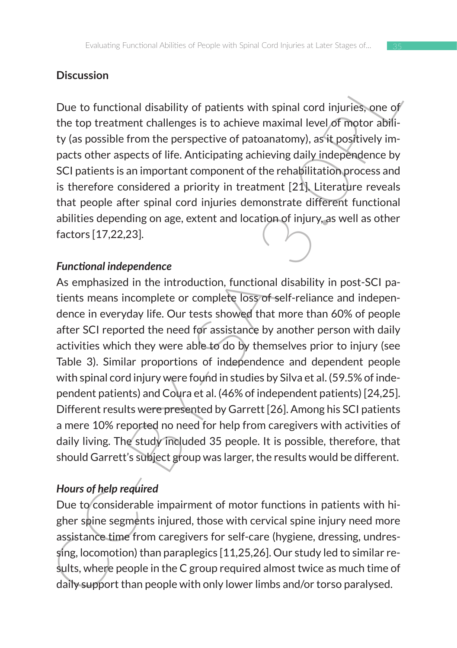### **Discussion**

Due to functional disability of patients with spinal cord injuries, one of the top treatment challenges is to achieve maximal level of motor ability (as possible from the perspective of patoanatomy), as it positively impacts other aspects of life. Anticipating achieving daily independence by SCI patients is an important component of the rehabilitation process and is therefore considered a priority in treatment  $[21]$ . Literature reveals that people after spinal cord injuries demonstrate different functional abilities depending on age, extent and location of injury, as well as other factors [17,22,23].

### *Functional independence*

Discussion<br>
Due to functional disability of patients with spinal cord injuries, one of<br>
the top treatment challenges is to achieve maximal level, of motor ability<br>
ty (as possible from the perspective of patoanatomy), as i As emphasized in the introduction, functional disability in post-SCI patients means incomplete or complete loss of self-reliance and independence in everyday life. Our tests showed that more than 60% of people after SCI reported the need for assistance by another person with daily activities which they were able to do by themselves prior to injury (see Table 3). Similar proportions of independence and dependent people with spinal cord injury were found in studies by Silva et al. (59.5% of independent patients) and Coura et al. (46% of independent patients) [24,25]. Different results were presented by Garrett [26]. Among his SCI patients a mere 10% reported no need for help from caregivers with activities of daily living. The study included 35 people. It is possible, therefore, that should Garrett's subject group was larger, the results would be different.

## *Hours of help required*

Due to considerable impairment of motor functions in patients with higher spine segments injured, those with cervical spine injury need more assistance time from caregivers for self-care (hygiene, dressing, undressing, locomotion) than paraplegics [11,25,26]. Our study led to similar results, where people in the C group required almost twice as much time of daily support than people with only lower limbs and/or torso paralysed.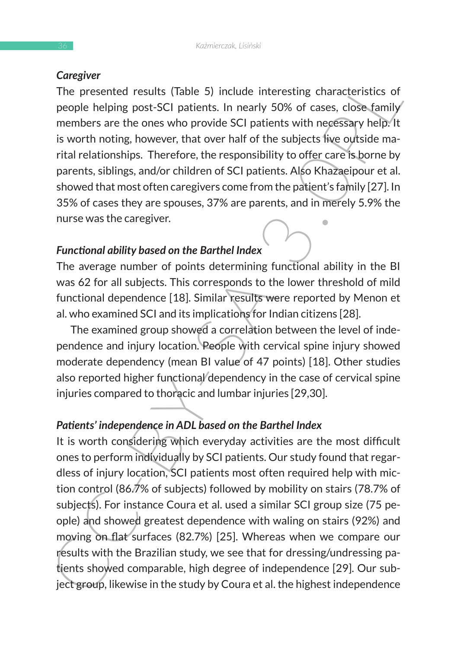#### *Caregiver*

The presented results (Table 5) include interesting characteristics of people helping post-SCI patients. In nearly 50% of cases, close family members are the ones who provide SCI patients with necessary help. It is worth noting, however, that over half of the subjects live outside marital relationships. Therefore, the responsibility to offer care is borne by parents, siblings, and/or children of SCI patients. Also Khazaeipour et al. showed that most often caregivers come from the patient's family [27]. In 35% of cases they are spouses, 37% are parents, and in merely 5.9% the nurse was the caregiver.

### *Functional ability based on the Barthel Index*

The average number of points determining functional ability in the BI was 62 for all subjects. This corresponds to the lower threshold of mild functional dependence [18]. Similar results were reported by Menon et al. who examined SCI and its implications for Indian citizens [28].

The examined group showed a correlation between the level of independence and injury location. People with cervical spine injury showed moderate dependency (mean BI value of 47 points) [18]. Other studies also reported higher functional dependency in the case of cervical spine injuries compared to thoracic and lumbar injuries [29,30].

#### *Patients' independence in ADL based on the Barthel Index*

**CHECT CONSERATION**<br>
The presented results (Table 5) include interesting characteristics of<br>
people helping post-SCI patients. In nearly 50% of cases, close family<br>
members are the ones who provide SCI patients with needs It is worth considering which everyday activities are the most difficult ones to perform individually by SCI patients. Our study found that regardless of injury location, SCI patients most often required help with miction control (86.7% of subjects) followed by mobility on stairs (78.7% of subjects). For instance Coura et al. used a similar SCI group size (75 people) and showed greatest dependence with waling on stairs (92%) and moving on flat surfaces (82.7%) [25]. Whereas when we compare our results with the Brazilian study, we see that for dressing/undressing patients showed comparable, high degree of independence [29]. Our subject group, likewise in the study by Coura et al. the highest independence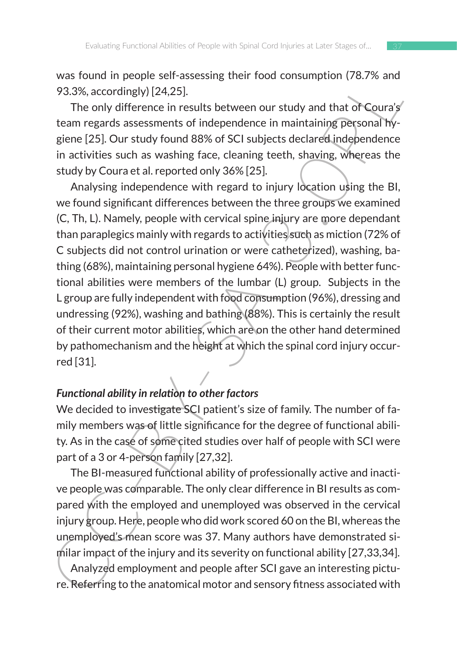was found in people self-assessing their food consumption (78.7% and 93.3%, accordingly) [24,25].

The only difference in results between our study and that of Coura's team regards assessments of independence in maintaining personal hygiene [25]. Our study found 88% of SCI subjects declared independence in activities such as washing face, cleaning teeth, shaving, whereas the study by Coura et al. reported only 36% [25].

was noutin people sein-assessing their rioot consumption (76.7% and<br>93.38%, accordingly) [24.25].<br>The only difference in results between our study and that of Coura's<br>12.33%, accordingly) [24.25].<br>The only difference in r Analysing independence with regard to injury location using the BI, we found significant differences between the three groups we examined (C, Th, L). Namely, people with cervical spine injury are more dependant than paraplegics mainly with regards to activities such as miction (72% of C subjects did not control urination or were catheterized), washing, bathing (68%), maintaining personal hygiene 64%). People with better functional abilities were members of the lumbar (L) group. Subjects in the L group are fully independent with food consumption (96%), dressing and undressing (92%), washing and bathing (88%). This is certainly the result of their current motor abilities, which are on the other hand determined by pathomechanism and the height at which the spinal cord injury occurred [31].

### *Functional ability in relation to other factors*

We decided to investigate SCI patient's size of family. The number of family members was of little significance for the degree of functional ability. As in the case of some cited studies over half of people with SCI were part of a 3 or 4-person family [27,32].

The BI-measured functional ability of professionally active and inactive people was comparable. The only clear difference in BI results as compared with the employed and unemployed was observed in the cervical injury group. Here, people who did work scored 60 on the BI, whereas the unemployed's mean score was 37. Many authors have demonstrated similar impact of the injury and its severity on functional ability [27,33,34].

Analyzed employment and people after SCI gave an interesting picture. Referring to the anatomical motor and sensory fitness associated with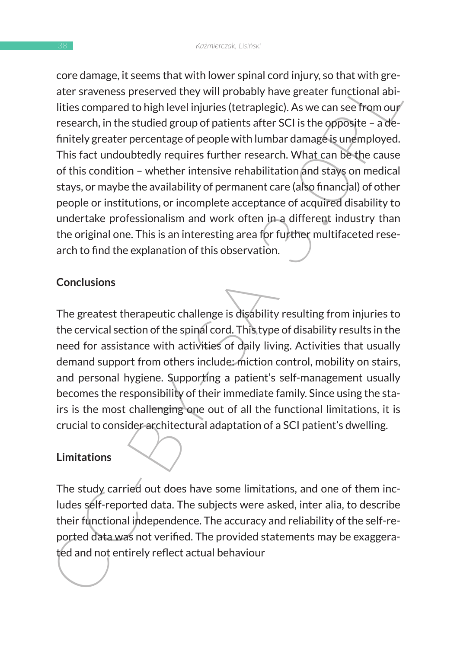Conclusions<br>are raveness preserved they will probably have greater functional abi-<br>ater staveness preserved they will probably have greater functional abi-<br>lities compared to high level injuries (tetraplegic). As we can se core damage, it seems that with lower spinal cord injury, so that with greater sraveness preserved they will probably have greater functional abilities compared to high level injuries (tetraplegic). As we can see from our research, in the studied group of patients after SCI is the opposite – a definitely greater percentage of people with lumbar damage is unemployed. This fact undoubtedly requires further research. What can be the cause of this condition – whether intensive rehabilitation and stays on medical stays, or maybe the availability of permanent care (also financial) of other people or institutions, or incomplete acceptance of acquired disability to undertake professionalism and work often in a different industry than the original one. This is an interesting area for further multifaceted research to find the explanation of this observation.

### **Conclusions**

The greatest therapeutic challenge is disability resulting from injuries to the cervical section of the spinal cord. This type of disability results in the need for assistance with activities of daily living. Activities that usually demand support from others include: miction control, mobility on stairs, and personal hygiene. Supporting a patient's self-management usually becomes the responsibility of their immediate family. Since using the stairs is the most challenging one out of all the functional limitations, it is crucial to consider architectural adaptation of a SCI patient's dwelling.

## **Limitations**

The study carried out does have some limitations, and one of them includes self-reported data. The subjects were asked, inter alia, to describe their functional independence. The accuracy and reliability of the self-reported data was not verified. The provided statements may be exaggerated and not entirely reflect actual behaviour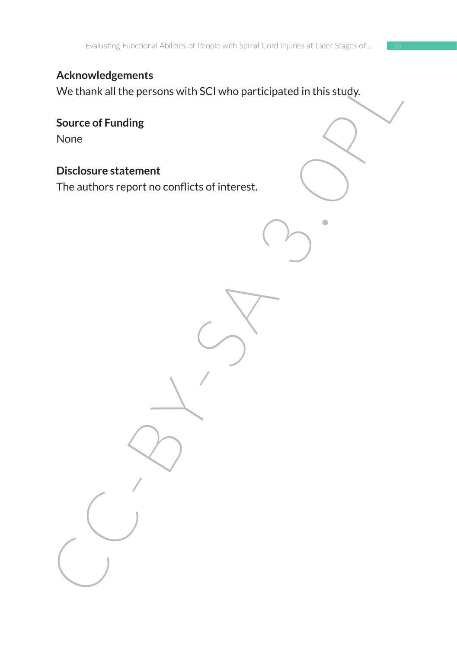### **Acknowledgements**

Acknowsigenering<br>
We thank all the persons with SCI who participated in this study.<br>
Source of Funding<br>
None<br>
Disclosure statement<br>
The authors report no conflicts of interest. We thank all the persons with SCI who participated in this study.

**Source of Funding** None

**Disclosure statement** 

The authors report no conflicts of interest.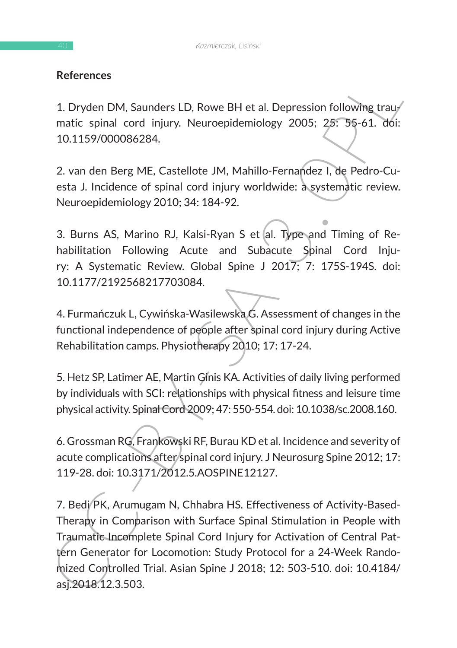### **References**

1. Dryden DM, Saunders LD, Rowe BH et al. Depression following traumatic spinal cord injury. Neuroepidemiology 2005; 25: 55-61. doi: 10.1159/000086284.

2. van den Berg ME, Castellote JM, Mahillo-Fernandez I, de Pedro-Cuesta J. Incidence of spinal cord injury worldwide: a systematic review. Neuroepidemiology 2010; 34: 184-92.

3. Burns AS, Marino RJ, Kalsi-Ryan S et al. Type and Timing of Rehabilitation Following Acute and Subacute Spinal Cord Injury: A Systematic Review. Global Spine J 2017; 7: 175S-194S. doi: 10.1177/2192568217703084.

4. Furmańczuk L, Cywińska-Wasilewska G. Assessment of changes in the functional independence of people after spinal cord injury during Active Rehabilitation camps. Physiotherapy 2010; 17: 17-24.

5. Hetz SP, Latimer AE, Martin Ginis KA. Activities of daily living performed by individuals with SCI: relationships with physical fitness and leisure time physical activity. Spinal Cord 2009; 47: 550-554. doi: 10.1038/sc.2008.160.

6. Grossman RG, Frankowski RF, Burau KD et al. Incidence and severity of acute complications after spinal cord injury. J Neurosurg Spine 2012; 17: 119-28. doi: 10.3171/2012.5.AOSPINE12127.

References<br>
1. Dryden DM, Saunders LD, Rowe BH et al. Depression following traum<br>
matic spinal cord injury. Neuroepidemiology 2005; 25: 35-61. doi:<br>
10.1159/000086284.<br>
2. van den Berg ME, Castellote JM, Mahillo-Fernandez 7. Bedi/PK, Arumugam N, Chhabra HS. Effectiveness of Activity-Based-Therapy in Comparison with Surface Spinal Stimulation in People with Traumatic Incomplete Spinal Cord Injury for Activation of Central Pattern Generator for Locomotion: Study Protocol for a 24-Week Randomized Controlled Trial. Asian Spine J 2018; 12: 503-510. doi: 10.4184/ asj.2018.12.3.503.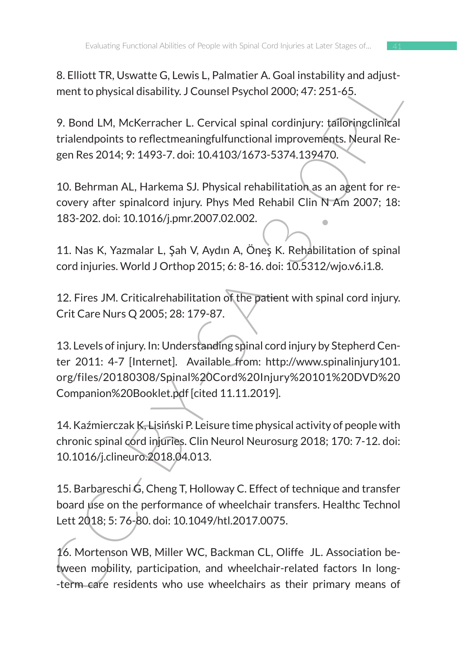8. Elliott TR, Uswatte G, Lewis L, Palmatier A. Goal instability and adjustment to physical disability. J Counsel Psychol 2000; 47: 251-65.

9. Bond LM, McKerracher L. Cervical spinal cordinjury: tailoringclinical trialendpoints to reflectmeaningfulfunctional improvements. Neural Regen Res 2014; 9: 1493-7. doi: 10.4103/1673-5374.139470.

10. Behrman AL, Harkema SJ. Physical rehabilitation as an agent for recovery after spinalcord injury. Phys Med Rehabil Clin N Am 2007; 18: 183-202. doi: 10.1016/j.pmr.2007.02.002.

11. Nas K, Yazmalar L, Şah V, Aydın A, Öneş K. Rehabilitation of spinal cord injuries. World J Orthop 2015; 6: 8-16. doi: 10.5312/wjo.v6.i1.8.

12. Fires JM. Criticalrehabilitation of the patient with spinal cord injury. Crit Care Nurs Q 2005; 28: 179-87.

of the C, extends the C, external and pusite rate of the C, extending and adjust-<br>
The Mecklen Collistic J. J. Counsel Psychol 2000; 47: 251-65.<br>
9. Bond LM, McKerracher L. Cervical spinal cordinginy: tailorngclinical<br>
tri 13. Levels of injury. In: Understanding spinal cord injury by Stepherd Center 2011: 4-7 [Internet]. Available from: http://www.spinalinjury101. org/files/20180308/Spinal%20Cord%20Injury%20101%20DVD%20 Companion%20Booklet.pdf [cited 11.11.2019].

14. Kaźmierczak K, Lisiński P. Leisure time physical activity of people with chronic spinal cord injuries. Clin Neurol Neurosurg 2018; 170: 7-12. doi: 10.1016/j.clineuro.2018.04.013.

15. Barbareschi G, Cheng T, Holloway C. Effect of technique and transfer board use on the performance of wheelchair transfers. Healthc Technol Lett 2018; 5: 76-80. doi: 10.1049/htl.2017.0075.

16. Mortenson WB, Miller WC, Backman CL, Oliffe JL. Association between mobility, participation, and wheelchair-related factors In long- -term care residents who use wheelchairs as their primary means of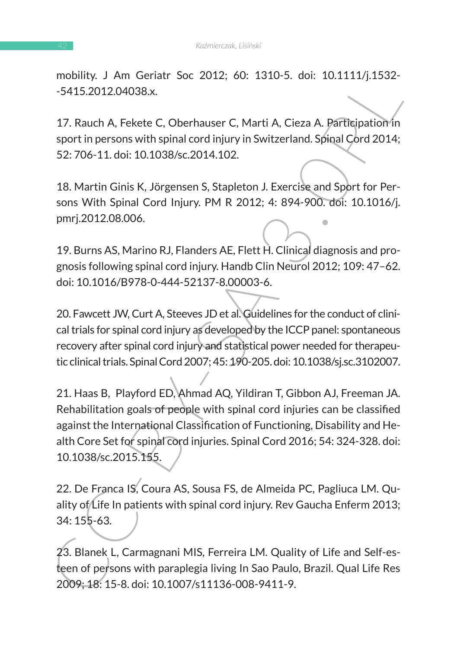mobility. J Am Geriatr Soc 2012; 60: 1310-5. doi: 10.1111/j.1532- -5415.2012.04038.x.

17. Rauch A, Fekete C, Oberhauser C, Marti A, Cieza A. Participation in sport in persons with spinal cord injury in Switzerland. Spinal Cord 2014; 52: 706-11. doi: 10.1038/sc.2014.102.

18. Martin Ginis K, Jörgensen S, Stapleton J. Exercise and Sport for Persons With Spinal Cord Injury. PM R 2012; 4: 894-900. doi: 10.1016/j. pmrj.2012.08.006.

19. Burns AS, Marino RJ, Flanders AE, Flett H. Clinical diagnosis and prognosis following spinal cord injury. Handb Clin Neurol 2012; 109: 47–62. doi: 10.1016/B978-0-444-52137-8.00003-6.

20. Fawcett JW, Curt A, Steeves JD et al. Guidelines for the conduct of clinical trials for spinal cord injury as developed by the ICCP panel: spontaneous recovery after spinal cord injury and statistical power needed for therapeutic clinical trials. Spinal Cord 2007; 45: 190-205. doi: 10.1038/sj.sc.3102007.

1.00011, 12 Anim Usrital Soc ZOL2; 00: 1.510-3. 100: 10.11111/j.1332-<br>
1.5415.2012.04038.<br>
1.7. Rauch A, Fekete C, Oberhauser C, Marti A, Cieza A. Barticipation 10.<br>
1.7. Rauch A, Fekete C, Oberhauser C, Marti A, Cieza A. 21. Haas B, Playford ED, Ahmad AQ, Yildiran T, Gibbon AJ, Freeman JA. Rehabilitation goals of people with spinal cord injuries can be classified against the International Classification of Functioning, Disability and Health Core Set for spinal cord injuries. Spinal Cord 2016; 54: 324-328. doi: 10.1038/sc.2015.155.

22. De Franca IS, Coura AS, Sousa FS, de Almeida PC, Pagliuca LM. Quality of Life In patients with spinal cord injury. Rev Gaucha Enferm 2013; 34: 155-63.

23. Blanek L, Carmagnani MIS, Ferreira LM. Quality of Life and Self-esteen of persons with paraplegia living In Sao Paulo, Brazil. Qual Life Res 2009; 18: 15-8. doi: 10.1007/s11136-008-9411-9.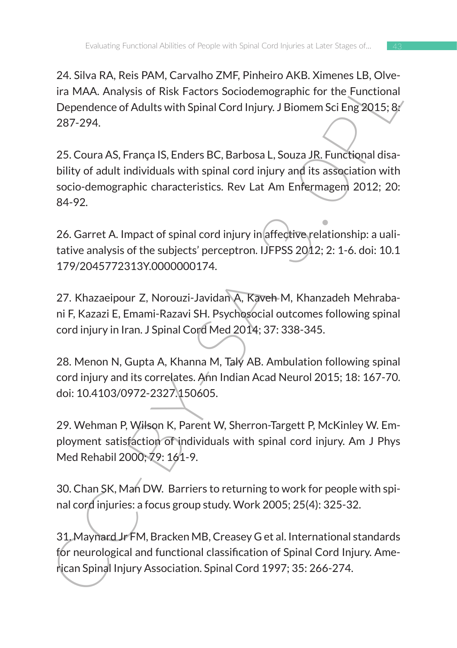24. Silva RA, Reis PAM, Carvalho ZMF, Pinheiro AKB. Ximenes LB, Olveira MAA. Analysis of Risk Factors Sociodemographic for the Functional Dependence of Adults with Spinal Cord Injury. J Biomem Sci Eng 2015; 8: 287-294.

24. Sura KA, Res PARY, Larvania Zent, Primierio ARS. Zimieris Lis, Owen<br>
ira MAA. Analysis of Risk Factors Sociodemographic for the Functional<br>
Dependence of Adults with Spinal Cord Injury. J Biomem Sci Eng 2015; 8/<br>
287-2 25. Coura AS, França IS, Enders BC, Barbosa L, Souza JR. Functional disability of adult individuals with spinal cord injury and its association with socio-demographic characteristics. Rev Lat Am Enfermagem 2012; 20: 84-92.

26. Garret A. Impact of spinal cord injury in affective relationship: a ualitative analysis of the subjects' perceptron. IJFPSS 2012; 2: 1-6. doi: 10.1 179/2045772313Y.0000000174.

27. Khazaeipour Z, Norouzi-Javidan A, Kaveh M, Khanzadeh Mehrabani F, Kazazi E, Emami-Razavi SH. Psychosocial outcomes following spinal cord injury in Iran. J Spinal Cord Med 2014; 37: 338-345.

28. Menon N, Gupta A, Khanna M, Taly AB. Ambulation following spinal cord injury and its correlates. Ann Indian Acad Neurol 2015; 18: 167-70. doi: 10.4103/0972-2327.150605.

29. Wehman P, Wilson K, Parent W, Sherron-Targett P, McKinley W. Employment satisfaction of individuals with spinal cord injury. Am J Phys Med Rehabil 2000; 79: 161-9.

30. Chan SK, Man DW. Barriers to returning to work for people with spinal cord injuries: a focus group study. Work 2005; 25(4): 325-32.

31. Maynard Jr FM, Bracken MB, Creasey G et al. International standards for neurological and functional classification of Spinal Cord Injury. American Spinal Injury Association. Spinal Cord 1997; 35: 266-274.